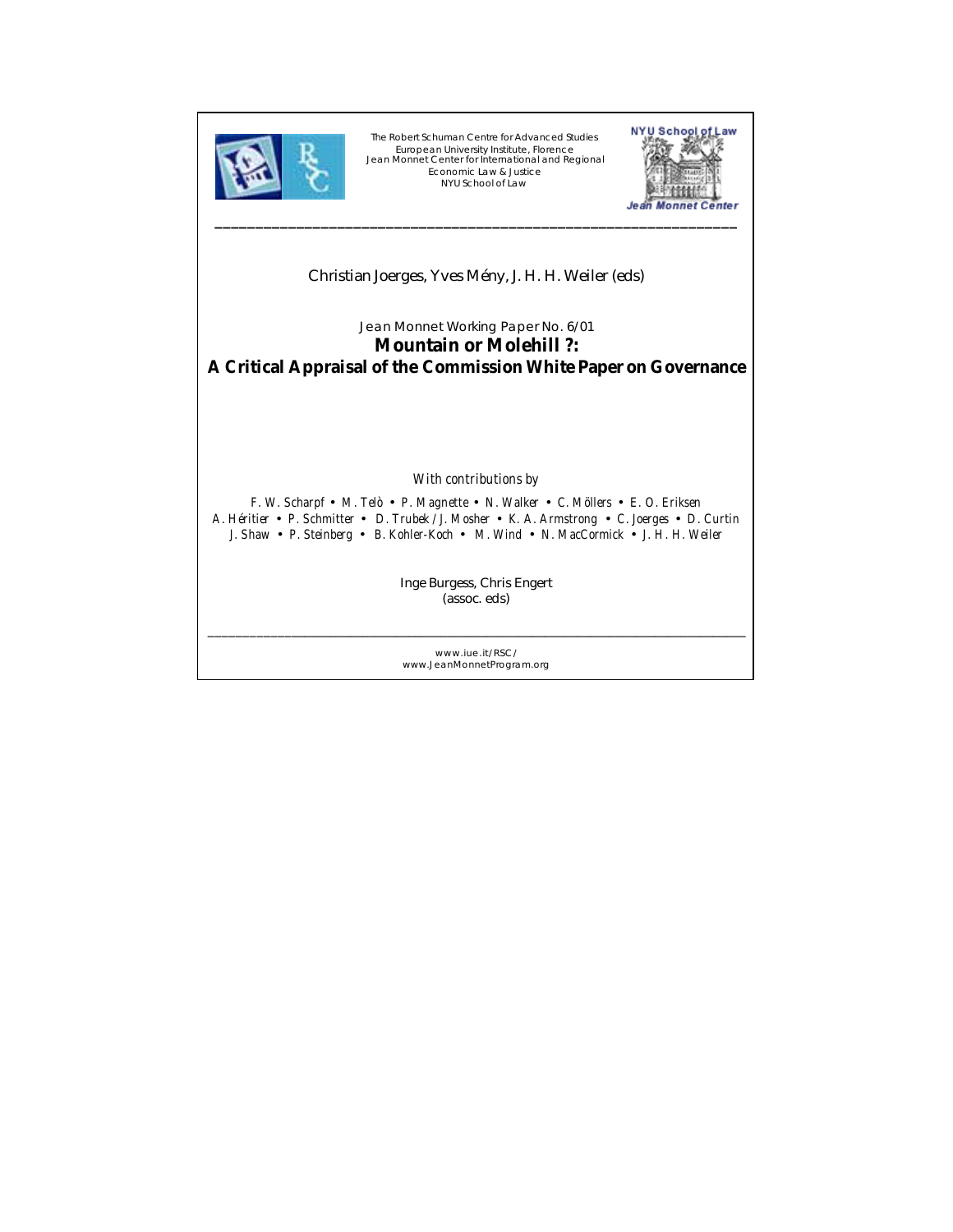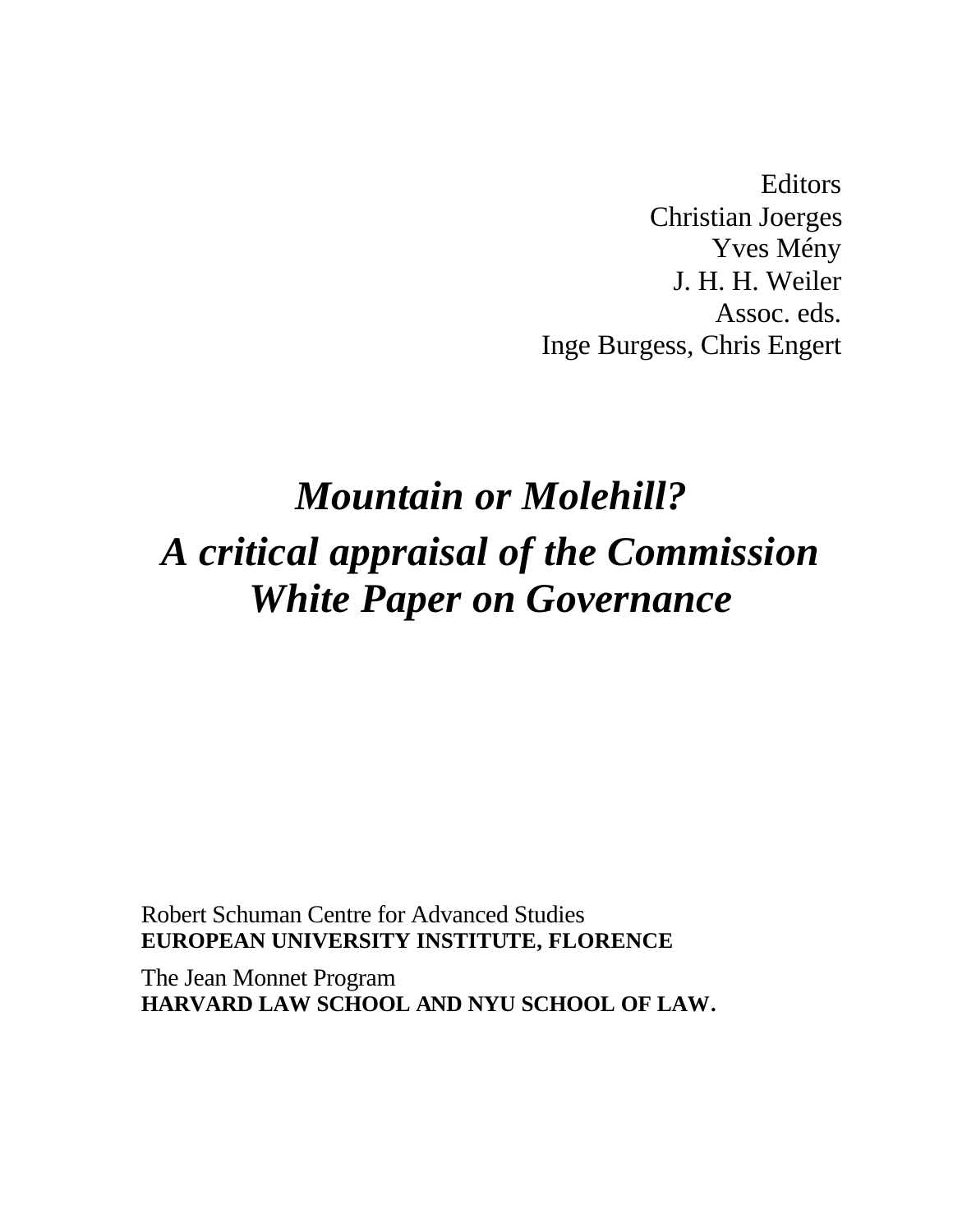**Editors** Christian Joerges Yves Mény J. H. H. Weiler Assoc. eds. Inge Burgess, Chris Engert

# *Mountain or Molehill? A critical appraisal of the Commission White Paper on Governance*

Robert Schuman Centre for Advanced Studies **EUROPEAN UNIVERSITY INSTITUTE, FLORENCE**

The Jean Monnet Program **HARVARD LAW SCHOOL AND NYU SCHOOL OF LAW.**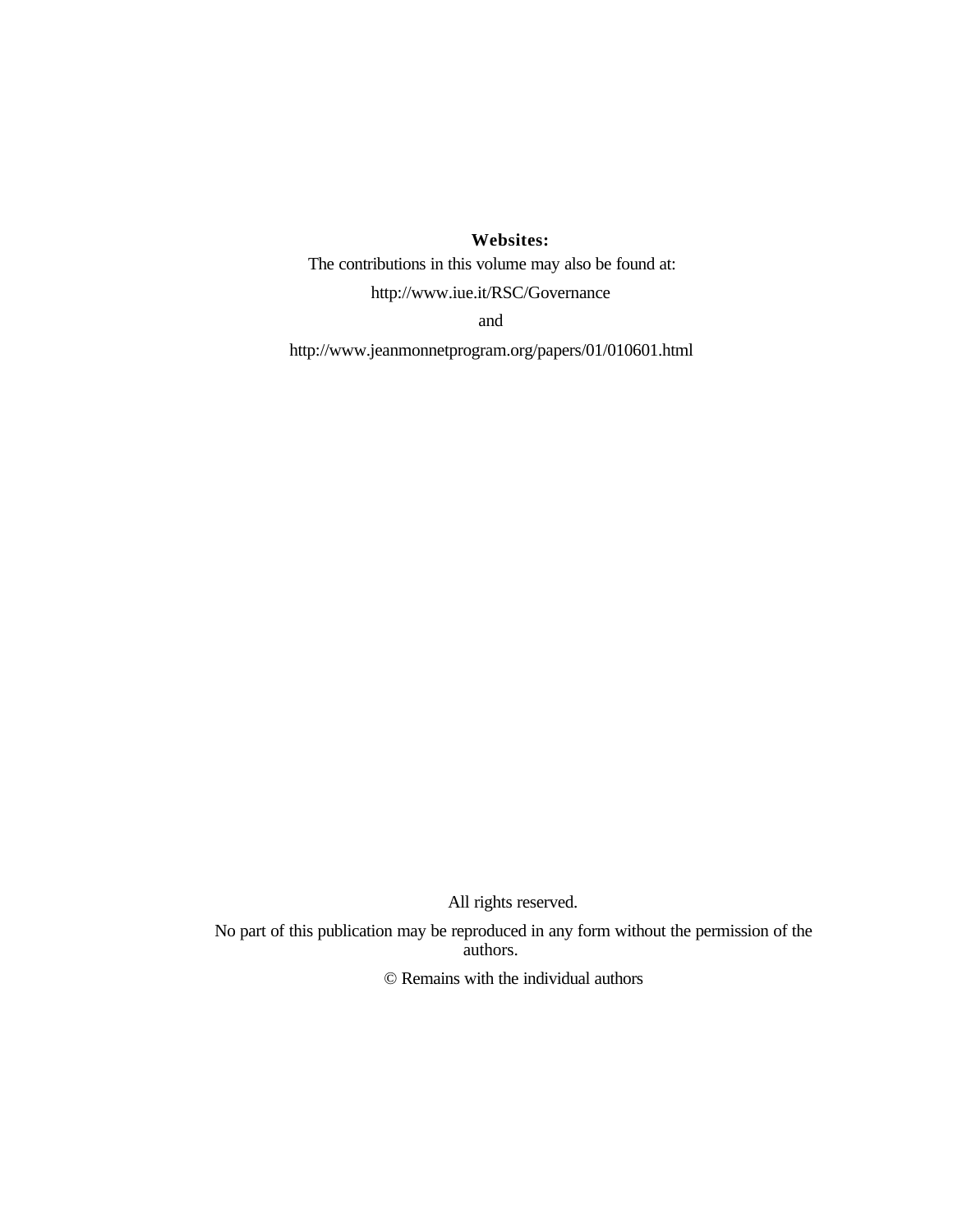## **Websites:**

The contributions in this volume may also be found at:

http://www.iue.it/RSC/Governance

and

http://www.jeanmonnetprogram.org/papers/01/010601.html

All rights reserved.

No part of this publication may be reproduced in any form without the permission of the authors.

© Remains with the individual authors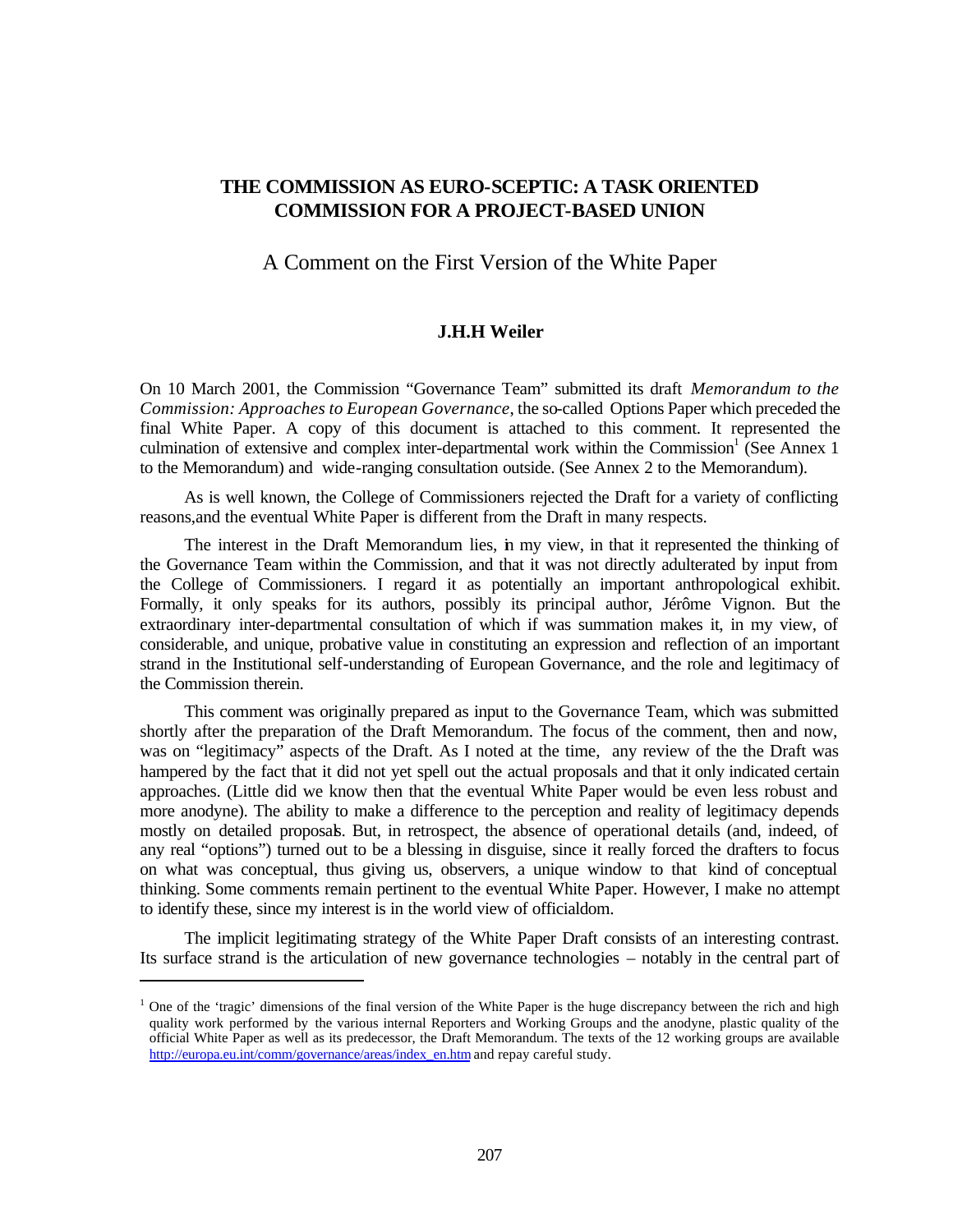## **THE COMMISSION AS EURO-SCEPTIC: A TASK ORIENTED COMMISSION FOR A PROJECT-BASED UNION**

## A Comment on the First Version of the White Paper

### **J.H.H Weiler**

On 10 March 2001, the Commission "Governance Team" submitted its draft *Memorandum to the Commission: Approaches to European Governance*, the so-called Options Paper which preceded the final White Paper. A copy of this document is attached to this comment. It represented the culmination of extensive and complex inter-departmental work within the Commission<sup>1</sup> (See Annex 1 to the Memorandum) and wide-ranging consultation outside. (See Annex 2 to the Memorandum).

As is well known, the College of Commissioners rejected the Draft for a variety of conflicting reasons,and the eventual White Paper is different from the Draft in many respects.

The interest in the Draft Memorandum lies, in my view, in that it represented the thinking of the Governance Team within the Commission, and that it was not directly adulterated by input from the College of Commissioners. I regard it as potentially an important anthropological exhibit. Formally, it only speaks for its authors, possibly its principal author, Jérôme Vignon. But the extraordinary inter-departmental consultation of which if was summation makes it, in my view, of considerable, and unique, probative value in constituting an expression and reflection of an important strand in the Institutional self-understanding of European Governance, and the role and legitimacy of the Commission therein.

This comment was originally prepared as input to the Governance Team, which was submitted shortly after the preparation of the Draft Memorandum. The focus of the comment, then and now, was on "legitimacy" aspects of the Draft. As I noted at the time, any review of the the Draft was hampered by the fact that it did not yet spell out the actual proposals and that it only indicated certain approaches. (Little did we know then that the eventual White Paper would be even less robust and more anodyne). The ability to make a difference to the perception and reality of legitimacy depends mostly on detailed proposals. But, in retrospect, the absence of operational details (and, indeed, of any real "options") turned out to be a blessing in disguise, since it really forced the drafters to focus on what was conceptual, thus giving us, observers, a unique window to that kind of conceptual thinking. Some comments remain pertinent to the eventual White Paper. However, I make no attempt to identify these, since my interest is in the world view of officialdom.

The implicit legitimating strategy of the White Paper Draft consists of an interesting contrast. Its surface strand is the articulation of new governance technologies – notably in the central part of

 $\overline{a}$ 

<sup>&</sup>lt;sup>1</sup> One of the 'tragic' dimensions of the final version of the White Paper is the huge discrepancy between the rich and high quality work performed by the various internal Reporters and Working Groups and the anodyne, plastic quality of the official White Paper as well as its predecessor, the Draft Memorandum. The texts of the 12 working groups are available http://europa.eu.int/comm/governance/areas/index\_en.htm and repay careful study.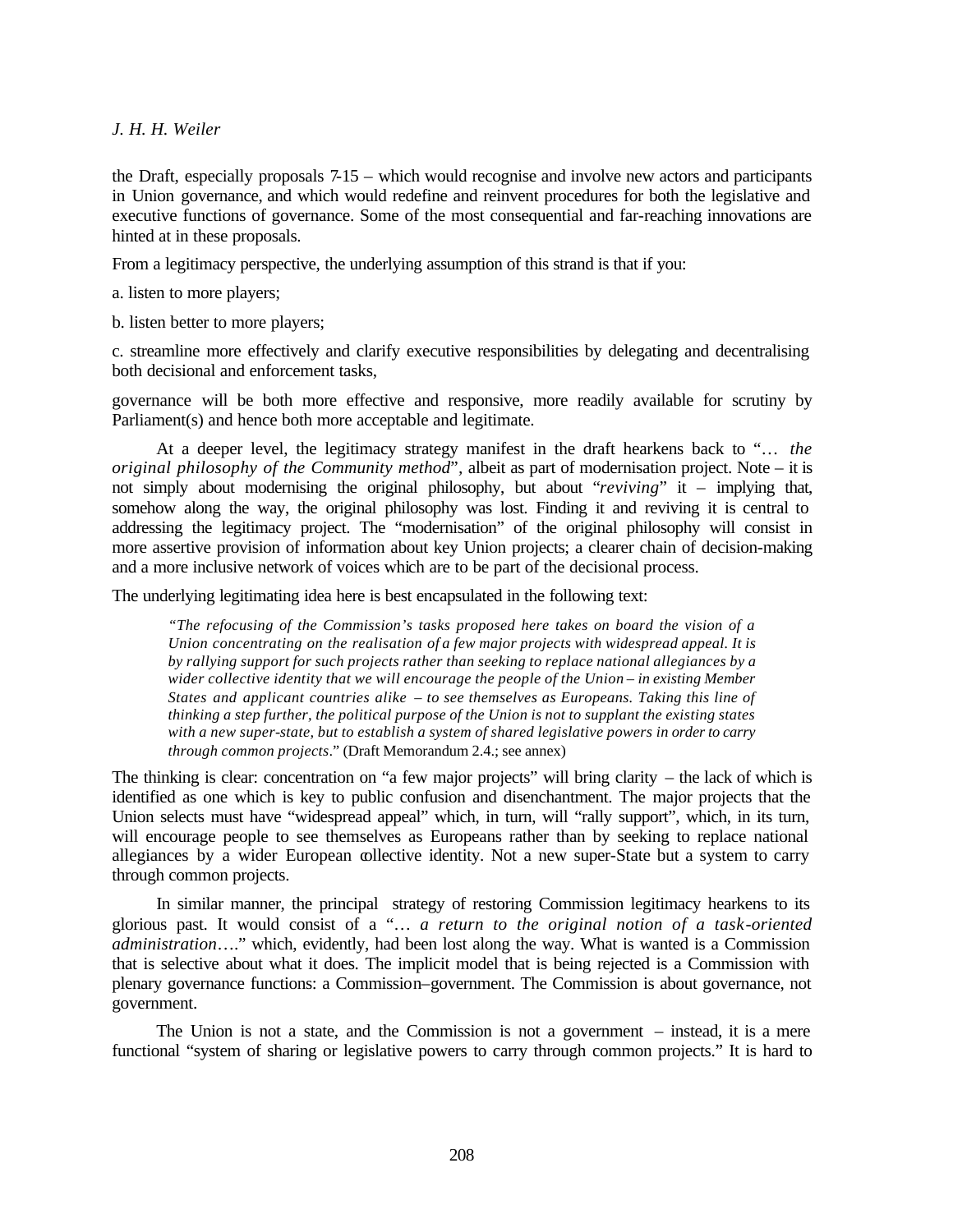*J. H. H. Weiler*

the Draft, especially proposals 7-15 – which would recognise and involve new actors and participants in Union governance, and which would redefine and reinvent procedures for both the legislative and executive functions of governance. Some of the most consequential and far-reaching innovations are hinted at in these proposals.

From a legitimacy perspective, the underlying assumption of this strand is that if you:

a. listen to more players;

b. listen better to more players;

c. streamline more effectively and clarify executive responsibilities by delegating and decentralising both decisional and enforcement tasks,

governance will be both more effective and responsive, more readily available for scrutiny by Parliament(s) and hence both more acceptable and legitimate.

At a deeper level, the legitimacy strategy manifest in the draft hearkens back to "… *the original philosophy of the Community method*"*,* albeit as part of modernisation project. Note – it is not simply about modernising the original philosophy, but about "*reviving*" it – implying that, somehow along the way, the original philosophy was lost. Finding it and reviving it is central to addressing the legitimacy project. The "modernisation" of the original philosophy will consist in more assertive provision of information about key Union projects; a clearer chain of decision-making and a more inclusive network of voices which are to be part of the decisional process.

The underlying legitimating idea here is best encapsulated in the following text:

*"The refocusing of the Commission's tasks proposed here takes on board the vision of a Union concentrating on the realisation of a few major projects with widespread appeal. It is by rallying support for such projects rather than seeking to replace national allegiances by a wider collective identity that we will encourage the people of the Union – in existing Member States and applicant countries alike – to see themselves as Europeans. Taking this line of thinking a step further, the political purpose of the Union is not to supplant the existing states with a new super-state, but to establish a system of shared legislative powers in order to carry through common projects*." (Draft Memorandum 2.4.; see annex)

The thinking is clear: concentration on "a few major projects" will bring clarity – the lack of which is identified as one which is key to public confusion and disenchantment. The major projects that the Union selects must have "widespread appeal" which, in turn, will "rally support", which, in its turn, will encourage people to see themselves as Europeans rather than by seeking to replace national allegiances by a wider European collective identity. Not a new super-State but a system to carry through common projects.

In similar manner, the principal strategy of restoring Commission legitimacy hearkens to its glorious past. It would consist of a "… *a return to the original notion of a task-oriented administration*…." which, evidently, had been lost along the way. What is wanted is a Commission that is selective about what it does. The implicit model that is being rejected is a Commission with plenary governance functions: a Commission–government. The Commission is about governance, not government.

The Union is not a state, and the Commission is not a government – instead, it is a mere functional "system of sharing or legislative powers to carry through common projects." It is hard to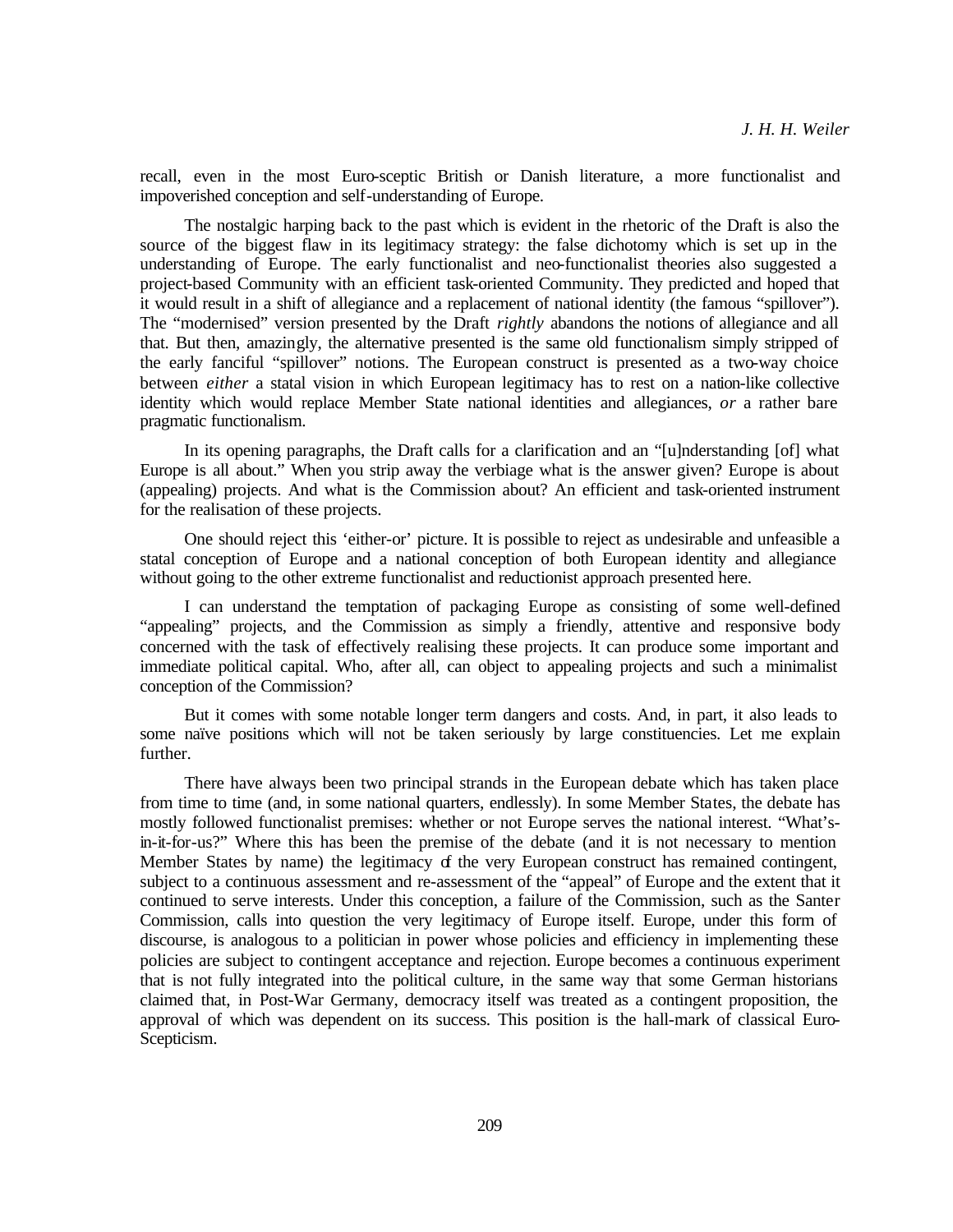recall, even in the most Euro-sceptic British or Danish literature, a more functionalist and impoverished conception and self-understanding of Europe.

The nostalgic harping back to the past which is evident in the rhetoric of the Draft is also the source of the biggest flaw in its legitimacy strategy: the false dichotomy which is set up in the understanding of Europe. The early functionalist and neo-functionalist theories also suggested a project-based Community with an efficient task-oriented Community. They predicted and hoped that it would result in a shift of allegiance and a replacement of national identity (the famous "spillover"). The "modernised" version presented by the Draft *rightly* abandons the notions of allegiance and all that. But then, amazingly, the alternative presented is the same old functionalism simply stripped of the early fanciful "spillover" notions. The European construct is presented as a two-way choice between *either* a statal vision in which European legitimacy has to rest on a nation-like collective identity which would replace Member State national identities and allegiances, *or* a rather bare pragmatic functionalism.

In its opening paragraphs, the Draft calls for a clarification and an "[u]nderstanding [of] what Europe is all about." When you strip away the verbiage what is the answer given? Europe is about (appealing) projects. And what is the Commission about? An efficient and task-oriented instrument for the realisation of these projects.

One should reject this 'either-or' picture. It is possible to reject as undesirable and unfeasible a statal conception of Europe and a national conception of both European identity and allegiance without going to the other extreme functionalist and reductionist approach presented here.

I can understand the temptation of packaging Europe as consisting of some well-defined "appealing" projects, and the Commission as simply a friendly, attentive and responsive body concerned with the task of effectively realising these projects. It can produce some important and immediate political capital. Who, after all, can object to appealing projects and such a minimalist conception of the Commission?

But it comes with some notable longer term dangers and costs. And, in part, it also leads to some naïve positions which will not be taken seriously by large constituencies. Let me explain further.

There have always been two principal strands in the European debate which has taken place from time to time (and, in some national quarters, endlessly). In some Member States, the debate has mostly followed functionalist premises: whether or not Europe serves the national interest. "What'sin-it-for-us?" Where this has been the premise of the debate (and it is not necessary to mention Member States by name) the legitimacy of the very European construct has remained contingent, subject to a continuous assessment and re-assessment of the "appeal" of Europe and the extent that it continued to serve interests. Under this conception, a failure of the Commission, such as the Santer Commission, calls into question the very legitimacy of Europe itself. Europe, under this form of discourse, is analogous to a politician in power whose policies and efficiency in implementing these policies are subject to contingent acceptance and rejection. Europe becomes a continuous experiment that is not fully integrated into the political culture, in the same way that some German historians claimed that, in Post-War Germany, democracy itself was treated as a contingent proposition, the approval of which was dependent on its success. This position is the hall-mark of classical Euro-Scepticism.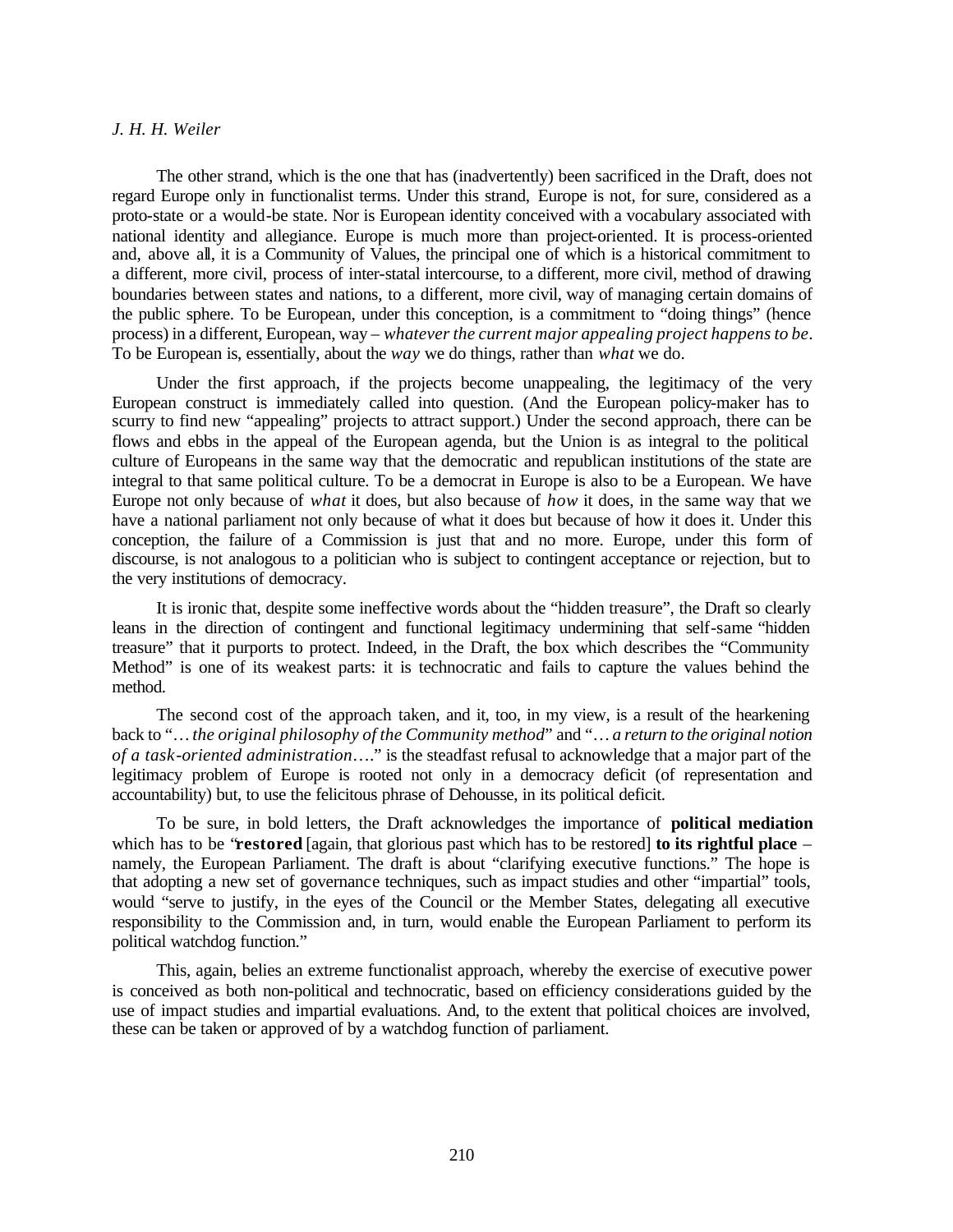#### *J. H. H. Weiler*

The other strand, which is the one that has (inadvertently) been sacrificed in the Draft, does not regard Europe only in functionalist terms. Under this strand, Europe is not, for sure, considered as a proto-state or a would-be state. Nor is European identity conceived with a vocabulary associated with national identity and allegiance. Europe is much more than project-oriented. It is process-oriented and, above all, it is a Community of Values, the principal one of which is a historical commitment to a different, more civil, process of inter-statal intercourse, to a different, more civil, method of drawing boundaries between states and nations, to a different, more civil, way of managing certain domains of the public sphere. To be European, under this conception, is a commitment to "doing things" (hence process) in a different, European, way – *whatever the current major appealing project happens to be*. To be European is, essentially, about the *way* we do things, rather than *what* we do.

Under the first approach, if the projects become unappealing, the legitimacy of the very European construct is immediately called into question. (And the European policy-maker has to scurry to find new "appealing" projects to attract support.) Under the second approach, there can be flows and ebbs in the appeal of the European agenda, but the Union is as integral to the political culture of Europeans in the same way that the democratic and republican institutions of the state are integral to that same political culture. To be a democrat in Europe is also to be a European. We have Europe not only because of *what* it does, but also because of *how* it does, in the same way that we have a national parliament not only because of what it does but because of how it does it. Under this conception, the failure of a Commission is just that and no more. Europe, under this form of discourse, is not analogous to a politician who is subject to contingent acceptance or rejection, but to the very institutions of democracy.

It is ironic that, despite some ineffective words about the "hidden treasure", the Draft so clearly leans in the direction of contingent and functional legitimacy undermining that self-same "hidden treasure" that it purports to protect. Indeed, in the Draft, the box which describes the "Community Method" is one of its weakest parts: it is technocratic and fails to capture the values behind the method.

The second cost of the approach taken, and it, too, in my view, is a result of the hearkening back to "… *the original philosophy of the Community method*" and "… *a return to the original notion of a task-oriented administration*…." is the steadfast refusal to acknowledge that a major part of the legitimacy problem of Europe is rooted not only in a democracy deficit (of representation and accountability) but, to use the felicitous phrase of Dehousse, in its political deficit.

To be sure, in bold letters, the Draft acknowledges the importance of **political mediation** which has to be "**restored** [again, that glorious past which has to be restored] **to its rightful place** – namely, the European Parliament. The draft is about "clarifying executive functions." The hope is that adopting a new set of governance techniques, such as impact studies and other "impartial" tools, would "serve to justify, in the eyes of the Council or the Member States, delegating all executive responsibility to the Commission and, in turn, would enable the European Parliament to perform its political watchdog function."

This, again, belies an extreme functionalist approach, whereby the exercise of executive power is conceived as both non-political and technocratic, based on efficiency considerations guided by the use of impact studies and impartial evaluations. And, to the extent that political choices are involved, these can be taken or approved of by a watchdog function of parliament.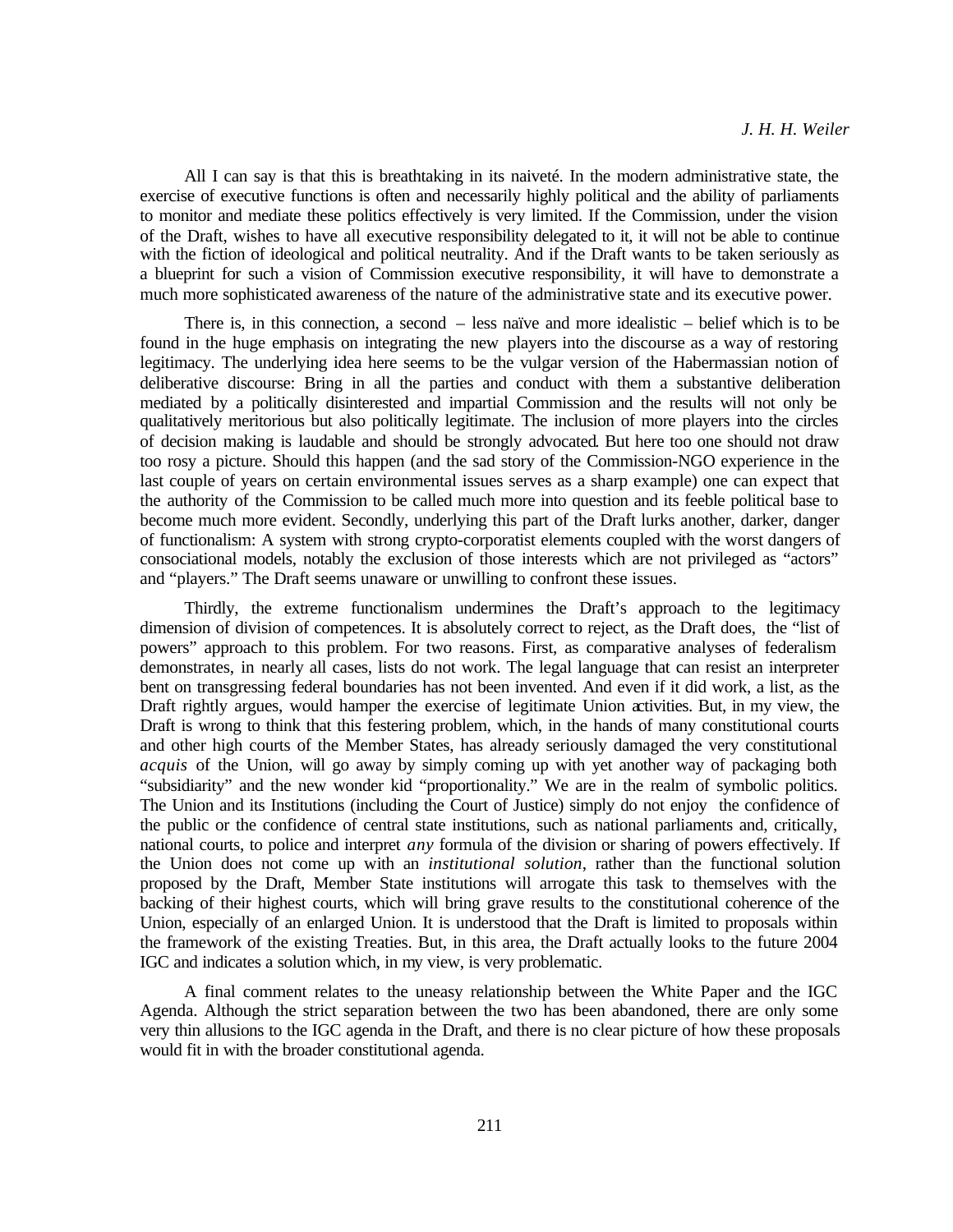All I can say is that this is breathtaking in its naiveté. In the modern administrative state, the exercise of executive functions is often and necessarily highly political and the ability of parliaments to monitor and mediate these politics effectively is very limited. If the Commission, under the vision of the Draft, wishes to have all executive responsibility delegated to it, it will not be able to continue with the fiction of ideological and political neutrality. And if the Draft wants to be taken seriously as a blueprint for such a vision of Commission executive responsibility, it will have to demonstrate a much more sophisticated awareness of the nature of the administrative state and its executive power.

There is, in this connection, a second – less naïve and more idealistic – belief which is to be found in the huge emphasis on integrating the new players into the discourse as a way of restoring legitimacy. The underlying idea here seems to be the vulgar version of the Habermassian notion of deliberative discourse: Bring in all the parties and conduct with them a substantive deliberation mediated by a politically disinterested and impartial Commission and the results will not only be qualitatively meritorious but also politically legitimate. The inclusion of more players into the circles of decision making is laudable and should be strongly advocated. But here too one should not draw too rosy a picture. Should this happen (and the sad story of the Commission-NGO experience in the last couple of years on certain environmental issues serves as a sharp example) one can expect that the authority of the Commission to be called much more into question and its feeble political base to become much more evident. Secondly, underlying this part of the Draft lurks another, darker, danger of functionalism: A system with strong crypto-corporatist elements coupled with the worst dangers of consociational models, notably the exclusion of those interests which are not privileged as "actors" and "players." The Draft seems unaware or unwilling to confront these issues.

Thirdly, the extreme functionalism undermines the Draft's approach to the legitimacy dimension of division of competences. It is absolutely correct to reject, as the Draft does, the "list of powers" approach to this problem. For two reasons. First, as comparative analyses of federalism demonstrates, in nearly all cases, lists do not work. The legal language that can resist an interpreter bent on transgressing federal boundaries has not been invented. And even if it did work, a list, as the Draft rightly argues, would hamper the exercise of legitimate Union activities. But, in my view, the Draft is wrong to think that this festering problem, which, in the hands of many constitutional courts and other high courts of the Member States, has already seriously damaged the very constitutional *acquis* of the Union, will go away by simply coming up with yet another way of packaging both "subsidiarity" and the new wonder kid "proportionality." We are in the realm of symbolic politics. The Union and its Institutions (including the Court of Justice) simply do not enjoy the confidence of the public or the confidence of central state institutions, such as national parliaments and, critically, national courts, to police and interpret *any* formula of the division or sharing of powers effectively. If the Union does not come up with an *institutional solution*, rather than the functional solution proposed by the Draft, Member State institutions will arrogate this task to themselves with the backing of their highest courts, which will bring grave results to the constitutional coherence of the Union, especially of an enlarged Union. It is understood that the Draft is limited to proposals within the framework of the existing Treaties. But, in this area, the Draft actually looks to the future 2004 IGC and indicates a solution which, in my view, is very problematic.

A final comment relates to the uneasy relationship between the White Paper and the IGC Agenda. Although the strict separation between the two has been abandoned, there are only some very thin allusions to the IGC agenda in the Draft, and there is no clear picture of how these proposals would fit in with the broader constitutional agenda.